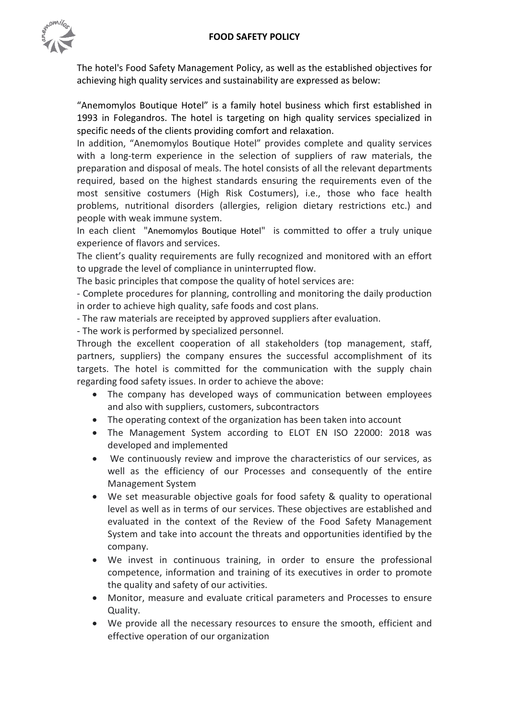

The hotel's Food Safety Management Policy, as well as the established objectives for achieving high quality services and sustainability are expressed as below:

"Anemomylos Boutique Hotel" is a family hotel business which first established in 1993 in Folegandros. The hotel is targeting on high quality services specialized in specific needs of the clients providing comfort and relaxation.

In addition, "Anemomylos Boutique Hotel" provides complete and quality services with a long-term experience in the selection of suppliers of raw materials, the preparation and disposal of meals. The hotel consists of all the relevant departments required, based on the highest standards ensuring the requirements even of the most sensitive costumers (High Risk Costumers), i.e., those who face health problems, nutritional disorders (allergies, religion dietary restrictions etc.) and people with weak immune system.

Ιn each client "Anemomylos Boutique Hotel" is committed to offer a truly unique experience of flavors and services.

The client's quality requirements are fully recognized and monitored with an effort to upgrade the level of compliance in uninterrupted flow.

The basic principles that compose the quality of hotel services are:

- Complete procedures for planning, controlling and monitoring the daily production in order to achieve high quality, safe foods and cost plans.

- The raw materials are receipted by approved suppliers after evaluation.

- The work is performed by specialized personnel.

Through the excellent cooperation of all stakeholders (top management, staff, partners, suppliers) the company ensures the successful accomplishment of its targets. The hotel is committed for the communication with the supply chain regarding food safety issues. In order to achieve the above:

- The company has developed ways of communication between employees and also with suppliers, customers, subcontractors
- The operating context of the organization has been taken into account
- The Management System according to ELOT EN ISO 22000: 2018 was developed and implemented
- We continuously review and improve the characteristics of our services, as well as the efficiency of our Processes and consequently of the entire Management System
- We set measurable objective goals for food safety & quality to operational level as well as in terms of our services. These objectives are established and evaluated in the context of the Review of the Food Safety Management System and take into account the threats and opportunities identified by the company.
- We invest in continuous training, in order to ensure the professional competence, information and training of its executives in order to promote the quality and safety of our activities.
- Monitor, measure and evaluate critical parameters and Processes to ensure Quality.
- We provide all the necessary resources to ensure the smooth, efficient and effective operation of our organization